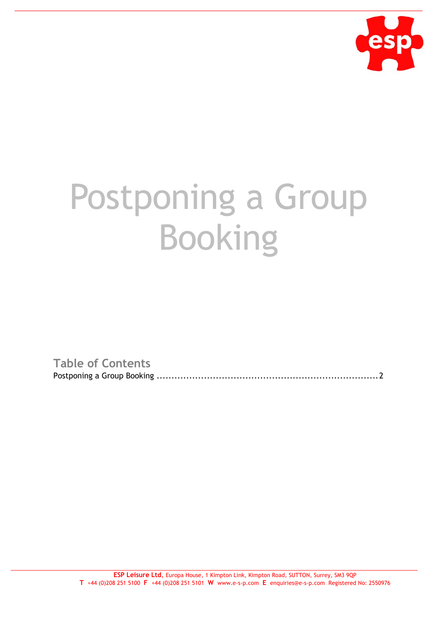

## Postponing a Group Booking

**Table of Contents**

Postponing a Group Booking ...........................................................................2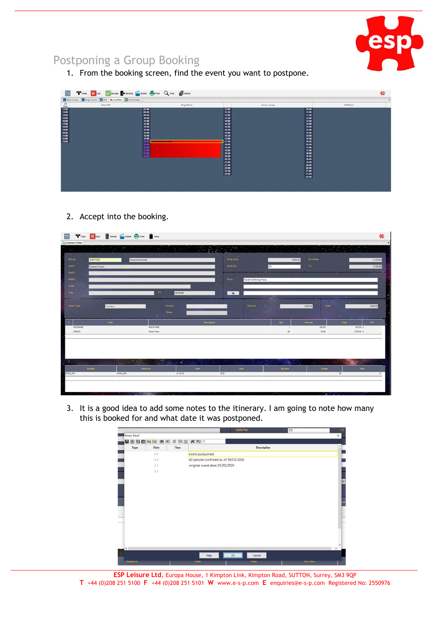

## Postponing a Group Booking

1. From the booking screen, find the event you want to postpone.

| Esher Course   Kings Course   Hint   b FuncRms   B Social Events |                         |                       |               |                       |           |
|------------------------------------------------------------------|-------------------------|-----------------------|---------------|-----------------------|-----------|
| Esher Hall                                                       |                         | Kings Room            | Surrey Lounge |                       | Ball Room |
|                                                                  | 07.00                   | $\frac{12.00}{12.30}$ |               | $\frac{10.30}{11.00}$ |           |
|                                                                  |                         |                       |               |                       |           |
|                                                                  | 09:00<br>10:00          | 13.00<br>13:30        |               | 11:30<br>12:00        |           |
|                                                                  | 11:00                   | 14:00                 |               | 12:30                 |           |
|                                                                  | 12.00                   | 14:30                 |               | 13:00                 |           |
|                                                                  | 13.00                   | 15:00                 |               | 13:30                 |           |
|                                                                  | 14:00                   | 15:30                 |               | 14:00                 |           |
|                                                                  | 15:00                   | 16:00                 |               | 14:30                 |           |
|                                                                  | 16:00                   | 16:30                 |               | 15:00                 |           |
|                                                                  | 17:00<br>18.00          | 17:00<br>17:30        |               | 15:30<br>16:00        |           |
|                                                                  | 19.00                   | 18:00                 |               | 16:30                 |           |
|                                                                  |                         | 18:30                 |               | 17:00                 |           |
|                                                                  |                         | 19.00                 |               | 17:30                 |           |
|                                                                  | 20.00<br>21.00<br>22.00 | 19:30                 |               | 18:00                 |           |
|                                                                  |                         | 20:00                 |               | 18:30                 |           |
|                                                                  |                         | 20:30                 |               | 19:00                 |           |
|                                                                  |                         | 21:00                 |               | 19:30                 |           |
|                                                                  |                         | 21:30<br>22:00        |               | 20:00<br>20:30        |           |
|                                                                  |                         | 22:30                 |               | 21.00                 |           |
|                                                                  |                         | 23:00                 |               | 21:30                 |           |
|                                                                  |                         |                       |               | 22:00                 |           |

2. Accept into the booking.

| Customer Orders                                        | Filelp X Exit III Delete And Action III Print III Itinry |                                                                                                                                                              |                    |                                      |                        |                  |                  |             | 勞                      |
|--------------------------------------------------------|----------------------------------------------------------|--------------------------------------------------------------------------------------------------------------------------------------------------------------|--------------------|--------------------------------------|------------------------|------------------|------------------|-------------|------------------------|
| $\mathcal{L}^{(1)}$                                    |                                                          |                                                                                                                                                              |                    | $\mathbb{R}^n \times \mathbb{R}^n$ : |                        |                  |                  | <b>WARD</b> |                        |
|                                                        |                                                          | - ni sila                                                                                                                                                    |                    |                                      |                        |                  |                  |             |                        |
| ACode<br>SHEPS02                                       | Shepherd/Sarah                                           |                                                                                                                                                              |                    | Order Date                           |                        | 19/03/20         | Evit Date        |             | 21/03/20               |
| Addr1<br>Europa House                                  |                                                          |                                                                                                                                                              |                    | Order No                             | SS                     |                  | To               |             | 21/03/20               |
| Addr2                                                  |                                                          |                                                                                                                                                              |                    |                                      |                        |                  |                  |             |                        |
| Addr3                                                  |                                                          |                                                                                                                                                              |                    | Dasc                                 | Sarah's Birthday Party |                  |                  |             |                        |
| Town                                                   |                                                          |                                                                                                                                                              |                    |                                      |                        |                  |                  |             |                        |
| Crity                                                  |                                                          | PC                                                                                                                                                           | SM39QP             | $\bullet$                            |                        |                  |                  |             |                        |
|                                                        |                                                          |                                                                                                                                                              |                    |                                      |                        |                  |                  |             |                        |
| Event Type                                             | Function                                                 | Invoice                                                                                                                                                      |                    |                                      | Deposit                |                  | Total<br>2000.00 |             | 3300.00                |
|                                                        |                                                          | <b>Status</b>                                                                                                                                                |                    |                                      |                        |                  |                  |             |                        |
| the company                                            |                                                          |                                                                                                                                                              |                    |                                      |                        |                  |                  |             |                        |
| ROOMHIRE                                               | Code                                                     | ROOM HIRE                                                                                                                                                    | <b>Description</b> |                                      |                        | Qty              | Amount<br>600.00 | Total       | <b>VAT</b><br>600.00 A |
| DINNER                                                 |                                                          | Dinner Event                                                                                                                                                 |                    |                                      |                        | 60               | 45.00            |             | 2700.00 A              |
|                                                        |                                                          |                                                                                                                                                              |                    |                                      |                        |                  |                  |             |                        |
|                                                        |                                                          |                                                                                                                                                              |                    |                                      |                        |                  |                  |             |                        |
|                                                        |                                                          |                                                                                                                                                              |                    |                                      |                        |                  |                  |             |                        |
|                                                        |                                                          |                                                                                                                                                              |                    |                                      |                        |                  |                  |             |                        |
| $\bullet$<br>the company of the company of the company |                                                          | $\label{eq:2} \mathcal{L}_{\text{c}}(\mathbf{r}_{\text{c}}) = \mathcal{L}_{\text{c}}(\mathbf{r}_{\text{c}}) + \mathcal{L}_{\text{c}}(\mathbf{r}_{\text{c}})$ |                    | ×                                    |                        | $\sim$ $^{12}$ . | ×.               |             |                        |
| <b>Activity</b>                                        |                                                          | Resource                                                                                                                                                     | Date               | Time                                 |                        | <b>Fin Time</b>  | People           |             | <b>Slots</b>           |
| KINGS_RM                                               | KINGS_RM                                                 |                                                                                                                                                              | 21/03/20           | 18:00                                |                        |                  |                  | 60          | 15                     |
|                                                        |                                                          |                                                                                                                                                              |                    |                                      |                        |                  |                  |             |                        |
|                                                        |                                                          |                                                                                                                                                              |                    |                                      |                        |                  |                  |             |                        |

3. It is a good idea to add some notes to the itinerary. I am going to note how many this is booked for and what date it was postponed.



**ESP Leisure Ltd**, Europa House, 1 Kimpton Link, Kimpton Road, SUTTON, Surrey, SM3 9QP **T** +44 (0)208 251 5100 **F** +44 (0)208 251 5101 **W** www.e-s-p.com **E** enquiries@e-s-p.com Registered No: 2550976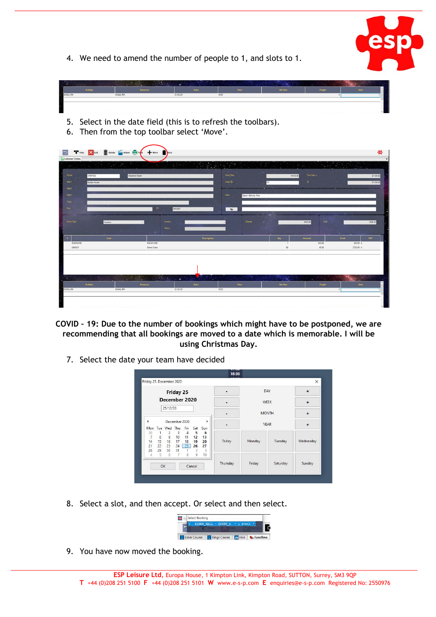

4. We need to amend the number of people to 1, and slots to 1.



- 5. Select in the date field (this is to refresh the toolbars).
- 6. Then from the top toolbar select 'Move'.



- **COVID – 19: Due to the number of bookings which might have to be postponed, we are recommending that all bookings are moved to a date which is memorable. I will be using Christmas Day.**
	- 7. Select the date your team have decided

| <b>Friday 25</b>        |                                     |                       |                             |                            |                     |                      |          |        | DAY      | $\div$    |
|-------------------------|-------------------------------------|-----------------------|-----------------------------|----------------------------|---------------------|----------------------|----------|--------|----------|-----------|
| December 2020           |                                     |                       |                             | <b>WEEK</b>                |                     | ÷                    |          |        |          |           |
| 25/12/20                |                                     |                       |                             | <b>MONTH</b>               |                     | $\ddot{}$            |          |        |          |           |
| December 2020<br>٩<br>r |                                     |                       |                             |                            |                     | <b>YEAR</b>          |          |        |          |           |
| Mon                     |                                     | Tue Wed Thu           |                             | Fri                        | Sat                 | Sun                  |          |        |          | $\ddot{}$ |
| 30<br>$\frac{7}{14}$    | 1<br>$\overline{\phantom{a}}$<br>15 | $\frac{2}{9}$<br>16   | 3<br>10 <sup>10</sup><br>17 | $\overline{4}$<br>11<br>18 | 5<br>12<br>19       | 6<br>13<br>20        | Today    | Monday | Tuesday  | Wednesday |
| 21<br>28                | 22<br>29                            | 23<br>30 <sup>°</sup> | 31                          | $24$ $\boxed{25}$          | 26<br>$\frac{2}{9}$ | 27<br>$\overline{3}$ |          |        |          |           |
| 4                       | 5                                   | 6                     | $7^{\circ}$                 | $\overline{8}$             |                     | 10                   |          |        |          |           |
|                         |                                     | OK.                   |                             |                            |                     |                      | Thursday | Friday | Saturday | Sunday    |

8. Select a slot, and then accept. Or select and then select.



9. You have now moved the booking.